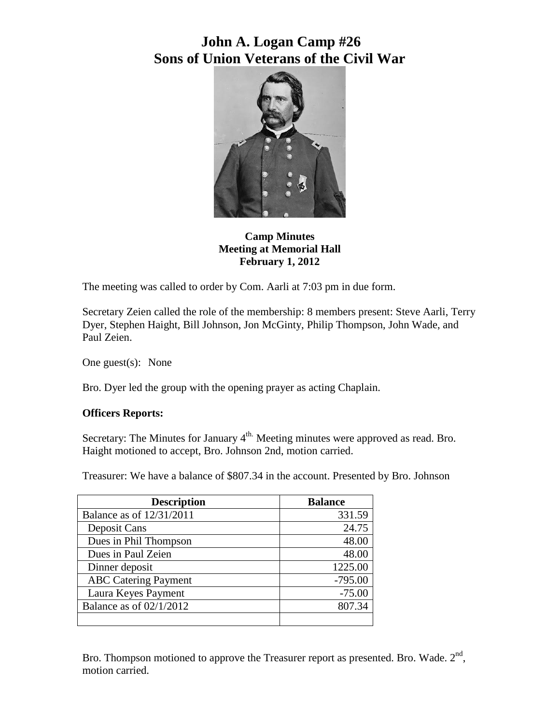# **John A. Logan Camp #26 Sons of Union Veterans of the Civil War**



**Camp Minutes Meeting at Memorial Hall February 1, 2012**

The meeting was called to order by Com. Aarli at 7:03 pm in due form.

Secretary Zeien called the role of the membership: 8 members present: Steve Aarli, Terry Dyer, Stephen Haight, Bill Johnson, Jon McGinty, Philip Thompson, John Wade, and Paul Zeien.

One guest(s): None

Bro. Dyer led the group with the opening prayer as acting Chaplain.

### **Officers Reports:**

Secretary: The Minutes for January  $4<sup>th</sup>$  Meeting minutes were approved as read. Bro. Haight motioned to accept, Bro. Johnson 2nd, motion carried.

Treasurer: We have a balance of \$807.34 in the account. Presented by Bro. Johnson

| <b>Description</b>          | <b>Balance</b> |
|-----------------------------|----------------|
| Balance as of 12/31/2011    | 331.59         |
| Deposit Cans                | 24.75          |
| Dues in Phil Thompson       | 48.00          |
| Dues in Paul Zeien          | 48.00          |
| Dinner deposit              | 1225.00        |
| <b>ABC Catering Payment</b> | $-795.00$      |
| Laura Keyes Payment         | $-75.00$       |
| Balance as of $02/1/2012$   | 807.34         |
|                             |                |

Bro. Thompson motioned to approve the Treasurer report as presented. Bro. Wade.  $2<sup>nd</sup>$ , motion carried.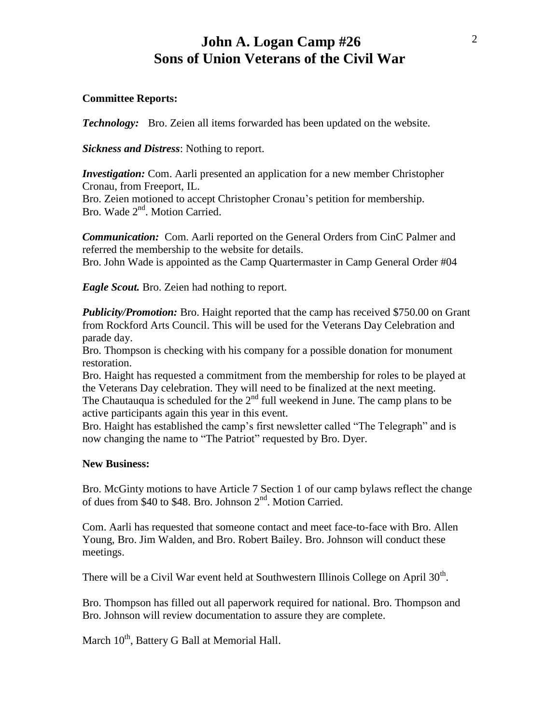### **John A. Logan Camp #26 Sons of Union Veterans of the Civil War**

#### **Committee Reports:**

*Technology:* Bro. Zeien all items forwarded has been updated on the website.

*Sickness and Distress*: Nothing to report.

*Investigation:* Com. Aarli presented an application for a new member Christopher Cronau, from Freeport, IL.

Bro. Zeien motioned to accept Christopher Cronau's petition for membership. Bro. Wade 2<sup>nd</sup>. Motion Carried.

*Communication:* Com. Aarli reported on the General Orders from CinC Palmer and referred the membership to the website for details.

Bro. John Wade is appointed as the Camp Quartermaster in Camp General Order #04

*Eagle Scout.* Bro. Zeien had nothing to report.

*Publicity/Promotion:* Bro. Haight reported that the camp has received \$750.00 on Grant from Rockford Arts Council. This will be used for the Veterans Day Celebration and parade day.

Bro. Thompson is checking with his company for a possible donation for monument restoration.

Bro. Haight has requested a commitment from the membership for roles to be played at the Veterans Day celebration. They will need to be finalized at the next meeting. The Chautauqua is scheduled for the  $2<sup>nd</sup>$  full weekend in June. The camp plans to be active participants again this year in this event.

Bro. Haight has established the camp's first newsletter called "The Telegraph" and is now changing the name to "The Patriot" requested by Bro. Dyer.

#### **New Business:**

Bro. McGinty motions to have Article 7 Section 1 of our camp bylaws reflect the change of dues from \$40 to \$48. Bro. Johnson 2<sup>nd</sup>. Motion Carried.

Com. Aarli has requested that someone contact and meet face-to-face with Bro. Allen Young, Bro. Jim Walden, and Bro. Robert Bailey. Bro. Johnson will conduct these meetings.

There will be a Civil War event held at Southwestern Illinois College on April  $30<sup>th</sup>$ .

Bro. Thompson has filled out all paperwork required for national. Bro. Thompson and Bro. Johnson will review documentation to assure they are complete.

March 10<sup>th</sup>, Battery G Ball at Memorial Hall.